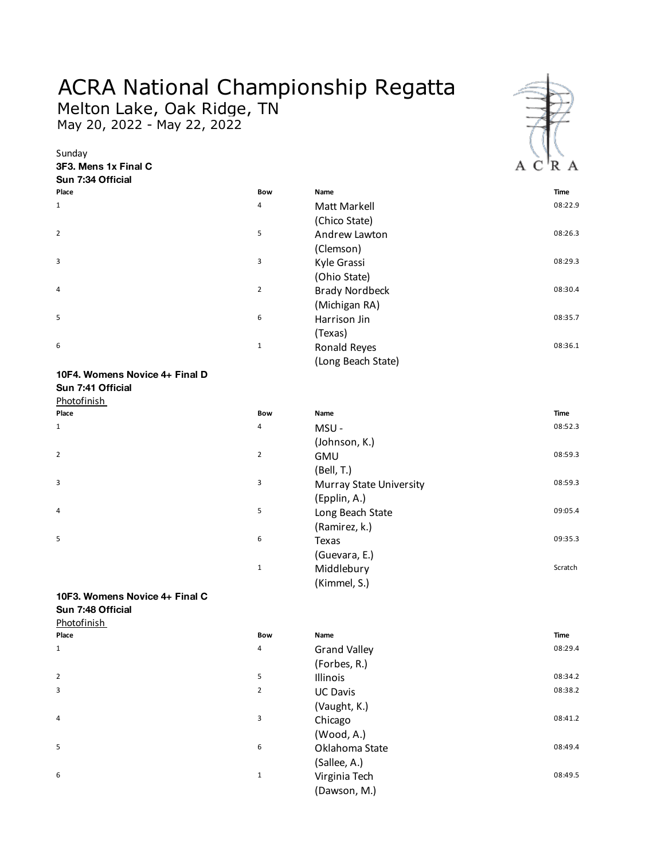## ACRA National Championship Regatta

Melton Lake, Oak Ridge, TN May 20, 2022 - May 22, 2022

**3F3. Mens 1x Final C**

Sunday



| Sun 7:34 Official |                |                       |             |
|-------------------|----------------|-----------------------|-------------|
| Place             | <b>Bow</b>     | Name                  | <b>Time</b> |
| $\mathbf{1}$      | 4              | Matt Markell          | 08:22.9     |
|                   |                | (Chico State)         |             |
| $\overline{2}$    | 5              | Andrew Lawton         | 08:26.3     |
|                   |                | (Clemson)             |             |
| 3                 | 3              | Kyle Grassi           | 08:29.3     |
|                   |                | (Ohio State)          |             |
| $\overline{4}$    | $\overline{2}$ | <b>Brady Nordbeck</b> | 08:30.4     |
|                   |                | (Michigan RA)         |             |
| 5                 | 6              | Harrison Jin          | 08:35.7     |
|                   |                | (Texas)               |             |
| 6                 | $\mathbf{1}$   | Ronald Reyes          | 08:36.1     |
|                   |                | (Long Beach State)    |             |

## **10F4. Womens Novice 4+ Final D Sun 7:41 Official**

Photofinish

| <u>PHULUHHISH</u> |  |  |
|-------------------|--|--|
| Place             |  |  |
| $\mathbf 1$       |  |  |
| $\overline{2}$    |  |  |
| 3                 |  |  |
| 4                 |  |  |
| 5                 |  |  |
|                   |  |  |

| Photofinish |                |                         |             |
|-------------|----------------|-------------------------|-------------|
| Place       | Bow            | Name                    | <b>Time</b> |
| 1           | 4              | MSU-                    | 08:52.3     |
|             |                | (Johnson, K.)           |             |
| 2           | $\overline{2}$ | <b>GMU</b>              | 08:59.3     |
|             |                | (Bell, T.)              |             |
| 3           | 3              | Murray State University | 08:59.3     |
|             |                | (Epplin, A.)            |             |
| 4           | 5              | Long Beach State        | 09:05.4     |
|             |                | (Ramirez, k.)           |             |
| 5           | 6              | Texas                   | 09:35.3     |
|             |                | (Guevara, E.)           |             |
|             | $1\,$          | Middlebury              | Scratch     |
|             |                | (Kimmel, S.)            |             |

## **10F3. Womens Novice 4+ Final C Sun 7:48 Official**

**Photofinish** 

| <b>FIIULUIIIIII</b> |                |                     |         |
|---------------------|----------------|---------------------|---------|
| Place               | Bow            | Name                | Time    |
| 1                   | 4              | <b>Grand Valley</b> | 08:29.4 |
|                     |                | (Forbes, R.)        |         |
| 2                   | 5              | Illinois            | 08:34.2 |
| 3                   | $\overline{2}$ | <b>UC Davis</b>     | 08:38.2 |
|                     |                | (Vaught, K.)        |         |
| 4                   | 3              | Chicago             | 08:41.2 |
|                     |                | (Wood, A.)          |         |
| 5                   | 6              | Oklahoma State      | 08:49.4 |
|                     |                | (Sallee, A.)        |         |
| 6                   | 1              | Virginia Tech       | 08:49.5 |
|                     |                | (Dawson, M.)        |         |
|                     |                |                     |         |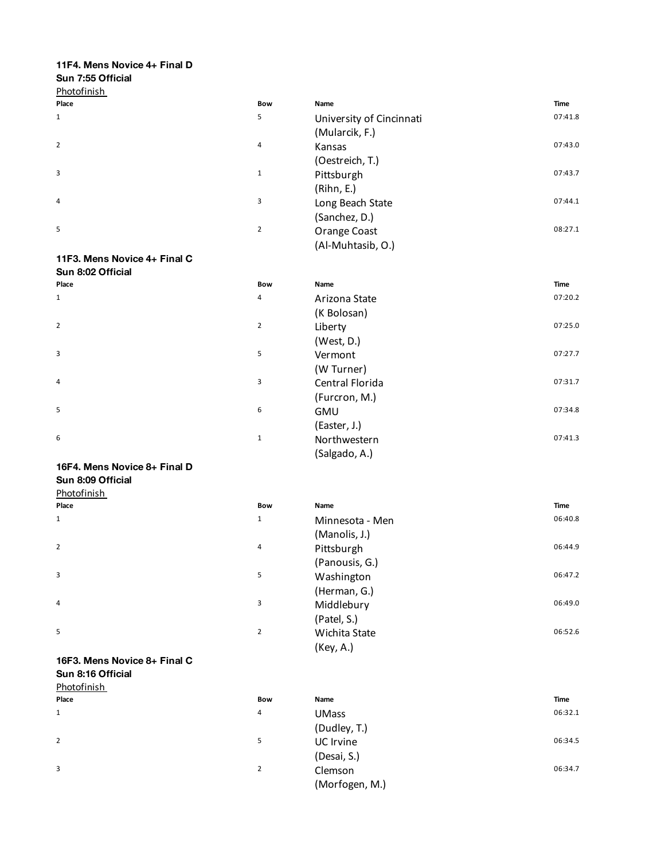## **11F4. Mens Novice 4+ Final D**

## **Sun 7:55 Official**

| Place          | <b>Bow</b>     | Name                     | Time    |
|----------------|----------------|--------------------------|---------|
| $\mathbf{1}$   | 5              | University of Cincinnati | 07:41.8 |
|                |                | (Mularcik, F.)           |         |
| $\overline{2}$ | 4              | Kansas                   | 07:43.0 |
|                |                | (Oestreich, T.)          |         |
| 3              | $\mathbf{1}$   | Pittsburgh               | 07:43.7 |
|                |                | (Rihn, E.)               |         |
| 4              | 3              | Long Beach State         | 07:44.1 |
|                |                | (Sanchez, D.)            |         |
| 5              | $\overline{2}$ | Orange Coast             | 08:27.1 |
|                |                | (Al-Muhtasib, O.)        |         |

## **11F3. Mens Novice 4+ Final C Sun 8:02 Official**

| Place          | <b>Bow</b>     | Name            | Time    |
|----------------|----------------|-----------------|---------|
| $\mathbf{1}$   | 4              | Arizona State   | 07:20.2 |
|                |                | (K Bolosan)     |         |
| $\overline{2}$ | $\overline{2}$ | Liberty         | 07:25.0 |
|                |                | (West, D.)      |         |
| 3              | 5              | Vermont         | 07:27.7 |
|                |                | (W Turner)      |         |
| 4              | 3              | Central Florida | 07:31.7 |
|                |                | (Furcron, M.)   |         |
| 5              | 6              | <b>GMU</b>      | 07:34.8 |
|                |                | (Easter, J.)    |         |
| 6              | $\mathbf{1}$   | Northwestern    | 07:41.3 |
|                |                | (Salgado, A.)   |         |

## **16F4. Mens Novice 8+ Final D Sun 8:09 Official**

| Photofinish |  |
|-------------|--|
|             |  |

| Place          | <b>Bow</b>     | Name            | <b>Time</b> |
|----------------|----------------|-----------------|-------------|
| $\mathbf{1}$   | $\mathbf 1$    | Minnesota - Men | 06:40.8     |
|                |                | (Manolis, J.)   |             |
| $\overline{2}$ | 4              | Pittsburgh      | 06:44.9     |
|                |                | (Panousis, G.)  |             |
| 3              | 5              | Washington      | 06:47.2     |
|                |                | (Herman, G.)    |             |
| 4              | 3              | Middlebury      | 06:49.0     |
|                |                | (Patel, S.)     |             |
| 5              | $\overline{2}$ | Wichita State   | 06:52.6     |
|                |                | (Key, A.)       |             |

#### **16F3. Mens Novice 8+ Final C Sun 8:16 Official**

|             | Sun 8:16 Official |  |
|-------------|-------------------|--|
| Photofinish |                   |  |

| Place          | <b>Bow</b> | Name           | <b>Time</b> |
|----------------|------------|----------------|-------------|
| $\mathbf{1}$   | 4          | <b>UMass</b>   | 06:32.1     |
|                |            | (Dudley, T.)   |             |
| $\overline{2}$ | 5          | UC Irvine      | 06:34.5     |
|                |            | (Desai, S.)    |             |
| 3              | 2          | Clemson        | 06:34.7     |
|                |            | (Morfogen, M.) |             |
|                |            |                |             |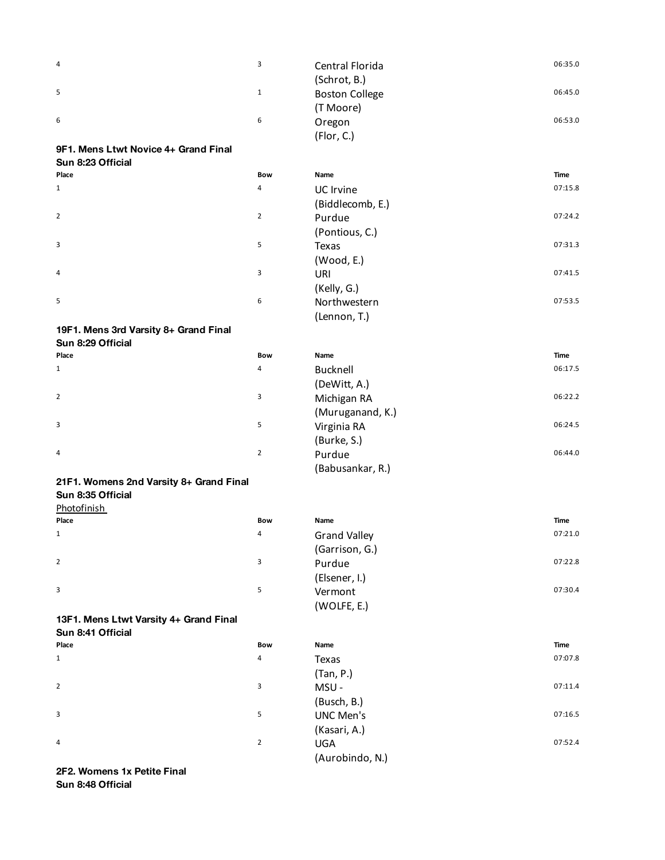| 4                                       | 3              | Central Florida<br>(Schrot, B.)    | 06:35.0     |
|-----------------------------------------|----------------|------------------------------------|-------------|
| 5                                       | $\mathbf{1}$   | <b>Boston College</b><br>(T Moore) | 06:45.0     |
| 6                                       | 6              | Oregon<br>(Flor, C.)               | 06:53.0     |
| 9F1. Mens Ltwt Novice 4+ Grand Final    |                |                                    |             |
| Sun 8:23 Official                       |                |                                    |             |
| Place                                   | Bow            | Name                               | <b>Time</b> |
| 1                                       | 4              | UC Irvine                          | 07:15.8     |
|                                         |                | (Biddlecomb, E.)                   |             |
| $\overline{2}$                          | $\overline{2}$ | Purdue                             | 07:24.2     |
|                                         |                | (Pontious, C.)                     |             |
| 3                                       | 5              | Texas                              | 07:31.3     |
|                                         |                | (Wood, E.)                         |             |
| 4                                       | 3              | URI                                | 07:41.5     |
|                                         |                | (Kelly, G.)                        |             |
| 5                                       | 6              | Northwestern                       | 07:53.5     |
|                                         |                | (Lennon, T.)                       |             |
| 19F1. Mens 3rd Varsity 8+ Grand Final   |                |                                    |             |
| Sun 8:29 Official                       |                |                                    |             |
| Place                                   | Bow            | Name                               | <b>Time</b> |
| 1                                       | 4              | <b>Bucknell</b>                    | 06:17.5     |
|                                         |                | (DeWitt, A.)                       |             |
| $\overline{2}$                          | 3              | Michigan RA                        | 06:22.2     |
|                                         |                | (Muruganand, K.)                   |             |
| 3                                       | 5              | Virginia RA                        | 06:24.5     |
|                                         |                | (Burke, S.)                        |             |
| 4                                       | $\overline{2}$ | Purdue                             | 06:44.0     |
|                                         |                | (Babusankar, R.)                   |             |
| 21F1. Womens 2nd Varsity 8+ Grand Final |                |                                    |             |
| Sun 8:35 Official                       |                |                                    |             |
| Photofinish<br>Place                    | Bow            | Name                               | Time        |
| 1                                       | 4              |                                    | 07:21.0     |
|                                         |                | <b>Grand Valley</b>                |             |
| $\overline{2}$                          | 3              | (Garrison, G.)<br>Purdue           | 07:22.8     |
|                                         |                |                                    |             |
| 3                                       | 5              | (Elsener, I.)<br>Vermont           | 07:30.4     |
|                                         |                | (WOLFE, E.)                        |             |
| 13F1. Mens Ltwt Varsity 4+ Grand Final  |                |                                    |             |
| Sun 8:41 Official                       |                |                                    |             |
| Place                                   | <b>Bow</b>     | Name                               | <b>Time</b> |
| $\mathbf{1}$                            | 4              | Texas                              | 07:07.8     |
|                                         |                | (Tan, P.)                          |             |
| $\overline{2}$                          | 3              | MSU-                               | 07:11.4     |
|                                         |                | (Busch, B.)                        |             |
| 3                                       | 5              | <b>UNC Men's</b>                   | 07:16.5     |
|                                         |                | (Kasari, A.)                       |             |
| 4                                       | $\overline{2}$ | <b>UGA</b>                         | 07:52.4     |
|                                         |                | (Aurobindo, N.)                    |             |
| 2F2. Womens 1x Petite Final             |                |                                    |             |
|                                         |                |                                    |             |

**Sun 8:48 Official**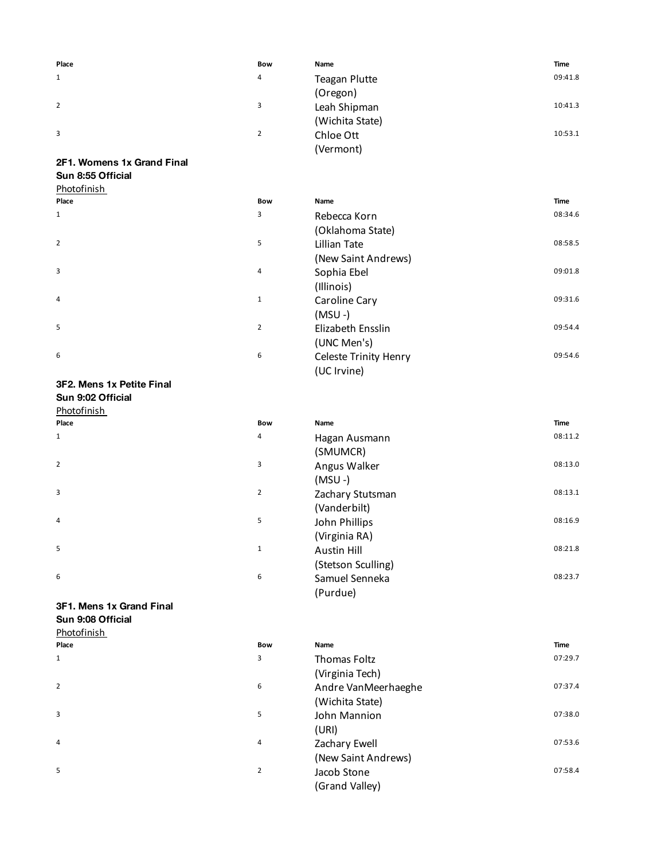| Place | <b>Bow</b>     | Name                 | <b>Time</b> |
|-------|----------------|----------------------|-------------|
| 1     | 4              | <b>Teagan Plutte</b> | 09:41.8     |
|       |                | (Oregon)             |             |
| 2     | 3              | Leah Shipman         | 10:41.3     |
|       |                | (Wichita State)      |             |
| 3     | $\overline{2}$ | Chloe Ott            | 10:53.1     |
|       |                | (Vermont)            |             |

## **2F1. Womens 1x Grand Final Sun 8:55 Official**

| Photofinish |
|-------------|
|-------------|

| Place          | <b>Bow</b>     | Name                         | Time    |
|----------------|----------------|------------------------------|---------|
| $\mathbf{1}$   | 3              | Rebecca Korn                 | 08:34.6 |
|                |                | (Oklahoma State)             |         |
| $\overline{2}$ | 5              | Lillian Tate                 | 08:58.5 |
|                |                | (New Saint Andrews)          |         |
| $\overline{3}$ | 4              | Sophia Ebel                  | 09:01.8 |
|                |                | (Illinois)                   |         |
| $\overline{4}$ | $\mathbf{1}$   | Caroline Cary                | 09:31.6 |
|                |                | $(MSU - )$                   |         |
| 5              | $\overline{2}$ | Elizabeth Ensslin            | 09:54.4 |
|                |                | (UNC Men's)                  |         |
| 6              | 6              | <b>Celeste Trinity Henry</b> | 09:54.6 |
|                |                | (UC Irvine)                  |         |

## **3F2. Mens 1x Petite Final**

| וואוון דאוויס זו השווים ובא |                         |
|-----------------------------|-------------------------|
| Sun 9:02 Official           |                         |
| Photofinish                 |                         |
| Place                       | E                       |
| 1                           | $\overline{\mathbf{r}}$ |
|                             |                         |
| $\overline{2}$              | ă                       |
|                             |                         |
| 3                           | Ź                       |
|                             |                         |
| 4                           | 5                       |
|                             |                         |
| 5                           | 1                       |
|                             |                         |
| 6                           | $\epsilon$              |
|                             |                         |

| Photofinish |                |                    |         |
|-------------|----------------|--------------------|---------|
| Place       | <b>Bow</b>     | Name               | Time    |
| 1           | 4              | Hagan Ausmann      | 08:11.2 |
|             |                | (SMUMCR)           |         |
| 2           | 3              | Angus Walker       | 08:13.0 |
|             |                | $(MSU - )$         |         |
| 3           | $\overline{2}$ | Zachary Stutsman   | 08:13.1 |
|             |                | (Vanderbilt)       |         |
| 4           | 5              | John Phillips      | 08:16.9 |
|             |                | (Virginia RA)      |         |
| 5           | 1              | Austin Hill        | 08:21.8 |
|             |                | (Stetson Sculling) |         |
| 6           | 6              | Samuel Senneka     | 08:23.7 |
|             |                | (Purdue)           |         |
|             |                |                    |         |

## **3F1. Mens 1x Grand Final**

**Sun 9:08 Official** Photofinish

| Place        | <b>Bow</b>     | Name                | <b>Time</b> |
|--------------|----------------|---------------------|-------------|
| $\mathbf{1}$ | 3              | <b>Thomas Foltz</b> | 07:29.7     |
|              |                | (Virginia Tech)     |             |
| 2            | 6              | Andre VanMeerhaeghe | 07:37.4     |
|              |                | (Wichita State)     |             |
| 3            | 5              | John Mannion        | 07:38.0     |
|              |                | (URI)               |             |
| 4            | 4              | Zachary Ewell       | 07:53.6     |
|              |                | (New Saint Andrews) |             |
| 5            | $\overline{2}$ | Jacob Stone         | 07:58.4     |
|              |                | (Grand Valley)      |             |
|              |                |                     |             |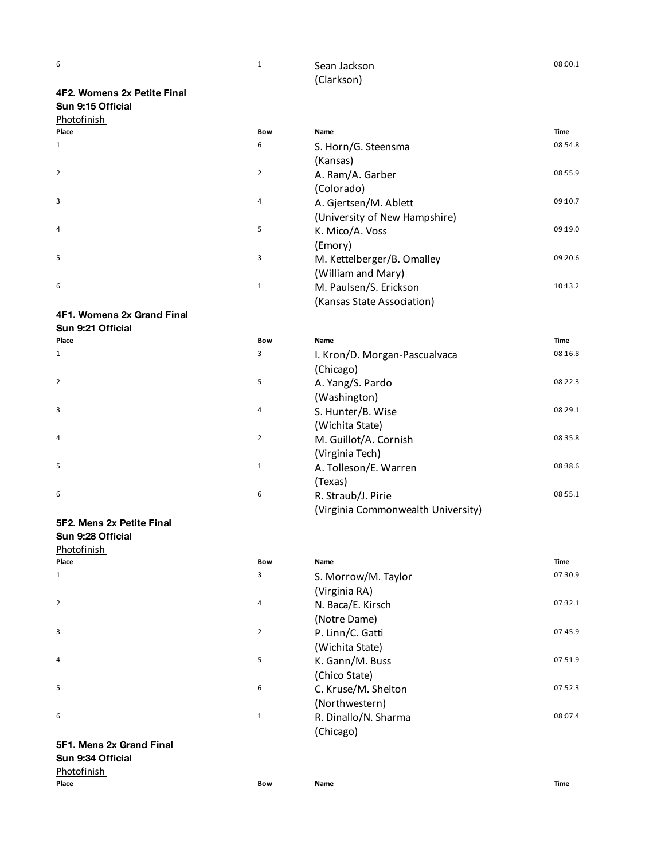| $\overline{\phantom{a}}$ | Sean Jackson | 08:00.3 |
|--------------------------|--------------|---------|
|                          | (Clarkson)   |         |

## **4F2. Womens 2x Petite Final Sun 9:15 Official** Photofinish

| Place          |  |  |
|----------------|--|--|
| $\mathbf 1$    |  |  |
|                |  |  |
| $\overline{2}$ |  |  |
|                |  |  |
| 3              |  |  |
|                |  |  |
| $\sqrt{4}$     |  |  |
|                |  |  |
| 5              |  |  |
|                |  |  |
| 6              |  |  |

## **4F1. Womens 2x Grand Final**

| Sun 9:21 Official |  |
|-------------------|--|
|-------------------|--|

| Place          |  |  |  |
|----------------|--|--|--|
| $1\,$          |  |  |  |
| $\overline{2}$ |  |  |  |
| 3              |  |  |  |
| 4              |  |  |  |
| 5              |  |  |  |
| 6              |  |  |  |

## **5F2. Mens 2x Petite Final Sun 9:28 Official**

| Photofinish<br>Place<br>$\mathbf 1$ |  |
|-------------------------------------|--|
| $\overline{2}$                      |  |
| 3                                   |  |
| 4                                   |  |
| 5                                   |  |
| 6                                   |  |

## **5F1. Mens 2x Grand Final Sun 9:34 Official**

## Photofinish

| Photofinish |                |                               |         |
|-------------|----------------|-------------------------------|---------|
| Place       | <b>Bow</b>     | Name                          | Time    |
| 1           | 6              | S. Horn/G. Steensma           | 08:54.8 |
|             |                | (Kansas)                      |         |
| 2           | $\overline{2}$ | A. Ram/A. Garber              | 08:55.9 |
|             |                | (Colorado)                    |         |
| 3           | 4              | A. Gjertsen/M. Ablett         | 09:10.7 |
|             |                | (University of New Hampshire) |         |
| 4           | 5              | K. Mico/A. Voss               | 09:19.0 |
|             |                | (Emory)                       |         |
| 5           | 3              | M. Kettelberger/B. Omalley    | 09:20.6 |
|             |                | (William and Mary)            |         |
| 6           | 1              | M. Paulsen/S. Erickson        | 10:13.2 |
|             |                | (Kansas State Association)    |         |
|             |                |                               |         |

| Place | <b>Bow</b>     | Name                               | Time    |
|-------|----------------|------------------------------------|---------|
| 1     | 3              | I. Kron/D. Morgan-Pascualvaca      | 08:16.8 |
|       |                | (Chicago)                          |         |
| 2     | 5              | A. Yang/S. Pardo                   | 08:22.3 |
|       |                | (Washington)                       |         |
| 3     | 4              | S. Hunter/B. Wise                  | 08:29.1 |
|       |                | (Wichita State)                    |         |
| 4     | $\overline{2}$ | M. Guillot/A. Cornish              | 08:35.8 |
|       |                | (Virginia Tech)                    |         |
| 5     | $\mathbf{1}$   | A. Tolleson/E. Warren              | 08:38.6 |
|       |                | (Texas)                            |         |
| 6     | 6              | R. Straub/J. Pirie                 | 08:55.1 |
|       |                | (Virginia Commonwealth University) |         |

# **Place Bow Name Time** S. Morrow/M. Taylor (Virginia RA) N. Baca/E. Kirsch (Notre Dame) P. Linn/C. Gatti (Wichita State) K. Gann/M. Buss (Chico State) C. Kruse/M. Shelton (Northwestern) R. Dinallo/N. Sharma (Chicago)  $\begin{array}{ccccccccc} \text{A} & \text{A} & \text{A} & \text{A} & \text{A} & \text{A} & \text{A} & \text{A} & \text{A} & \text{A} & \text{A} & \text{A} & \text{A} & \text{A} & \text{A} & \text{A} & \text{A} & \text{A} & \text{A} & \text{A} & \text{A} & \text{A} & \text{A} & \text{A} & \text{A} & \text{A} & \text{A} & \text{A} & \text{A} & \text{A} & \text{A} & \text{A} & \text{A} & \text{A} & \text{A} & \$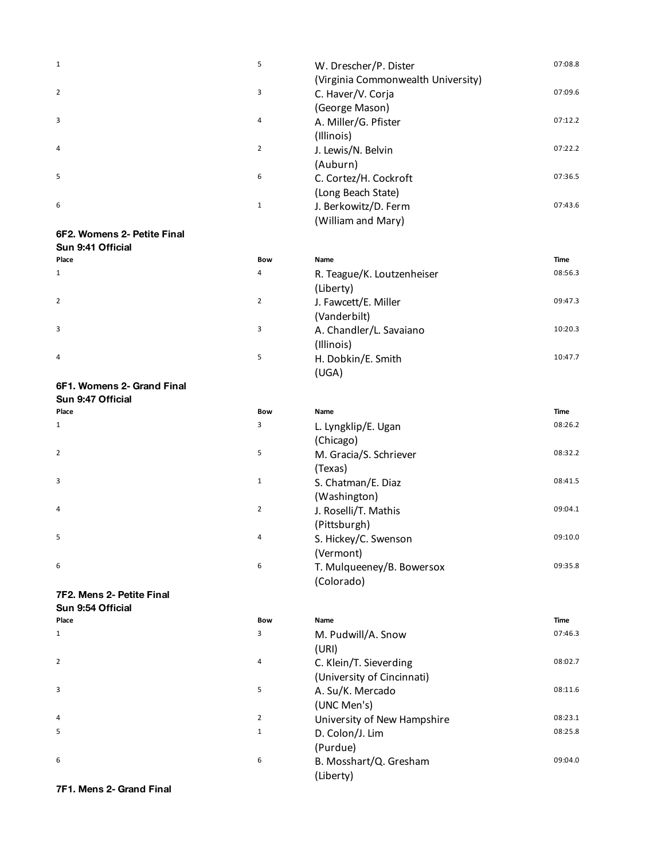| $\mathbf{1}$                | 5              | W. Drescher/P. Dister              | 07:08.8 |
|-----------------------------|----------------|------------------------------------|---------|
|                             |                | (Virginia Commonwealth University) |         |
| 2                           | 3              | C. Haver/V. Corja                  | 07:09.6 |
|                             |                | (George Mason)                     |         |
| 3                           | 4              | A. Miller/G. Pfister               | 07:12.2 |
|                             |                | (Illinois)                         |         |
| 4                           | $\overline{2}$ | J. Lewis/N. Belvin                 | 07:22.2 |
|                             |                | (Auburn)                           |         |
| 5                           | 6              | C. Cortez/H. Cockroft              | 07:36.5 |
|                             |                | (Long Beach State)                 |         |
| 6                           | $1\,$          | J. Berkowitz/D. Ferm               | 07:43.6 |
|                             |                | (William and Mary)                 |         |
| 6F2. Womens 2- Petite Final |                |                                    |         |
| Sun 9:41 Official           |                |                                    |         |
| Place                       | <b>Bow</b>     | Name                               | Time    |
| $\mathbf 1$                 | 4              | R. Teague/K. Loutzenheiser         | 08:56.3 |
|                             |                | (Liberty)                          |         |
| 2                           | $\overline{2}$ | J. Fawcett/E. Miller               | 09:47.3 |
|                             |                | (Vanderbilt)                       |         |
| 3                           | 3              |                                    | 10:20.3 |
|                             |                | A. Chandler/L. Savaiano            |         |
|                             |                | (Illinois)                         |         |
| 4                           | 5              | H. Dobkin/E. Smith                 | 10:47.7 |
|                             |                | (UGA)                              |         |
| 6F1. Womens 2- Grand Final  |                |                                    |         |
| Sun 9:47 Official           |                |                                    |         |
| Place                       | <b>Bow</b>     | Name                               | Time    |
| $\mathbf 1$                 | 3              | L. Lyngklip/E. Ugan                | 08:26.2 |
|                             |                | (Chicago)                          |         |
| $\mathbf{2}$                | 5              | M. Gracia/S. Schriever             | 08:32.2 |
|                             |                | (Texas)                            |         |
| 3                           | $\mathbf{1}$   | S. Chatman/E. Diaz                 | 08:41.5 |
|                             |                | (Washington)                       |         |
| 4                           | $\overline{2}$ | J. Roselli/T. Mathis               | 09:04.1 |
|                             |                | (Pittsburgh)                       |         |
| 5                           | 4              | S. Hickey/C. Swenson               | 09:10.0 |
|                             |                |                                    |         |
|                             |                | (Vermont)                          |         |
| 6                           | 6              | T. Mulqueeney/B. Bowersox          | 09:35.8 |
|                             |                | (Colorado)                         |         |
| 7F2. Mens 2- Petite Final   |                |                                    |         |
| Sun 9:54 Official           |                |                                    |         |
| Place                       | Bow            | Name                               | Time    |
| 1                           | 3              | M. Pudwill/A. Snow                 | 07:46.3 |
|                             |                | (URI)                              |         |
| $\mathbf{2}$                | 4              | C. Klein/T. Sieverding             | 08:02.7 |
|                             |                | (University of Cincinnati)         |         |
| 3                           | 5              | A. Su/K. Mercado                   | 08:11.6 |
|                             |                | (UNC Men's)                        |         |
| 4                           | $\overline{2}$ | University of New Hampshire        | 08:23.1 |
| 5                           | $\mathbf{1}$   | D. Colon/J. Lim                    | 08:25.8 |
|                             |                | (Purdue)                           |         |
| 6                           | 6              |                                    | 09:04.0 |
|                             |                | B. Mosshart/Q. Gresham             |         |
|                             |                | (Liberty)                          |         |

**7F1. Mens 2- Grand Final** <sup>6</sup>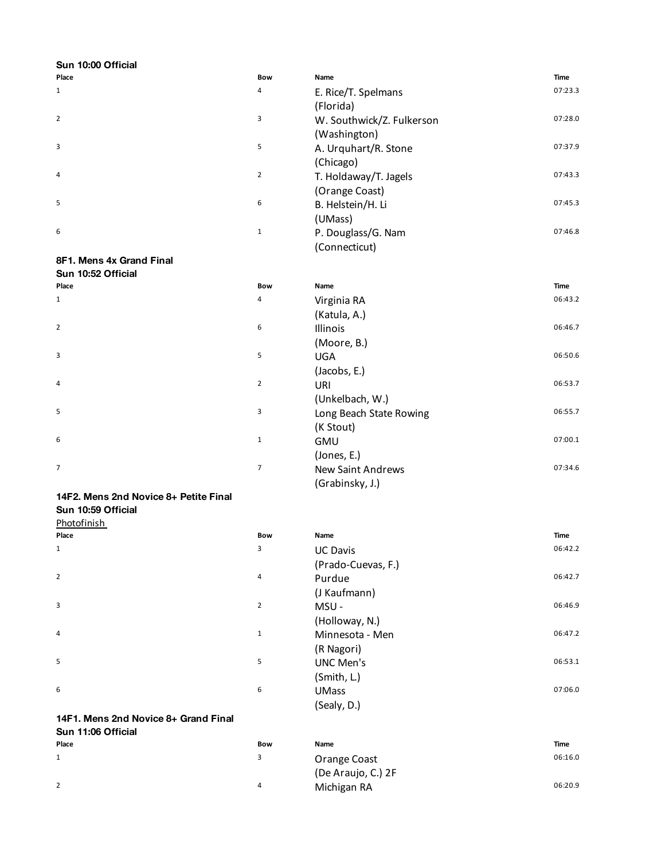| Sun 10:00 Official                    |                |                           |             |
|---------------------------------------|----------------|---------------------------|-------------|
| Place                                 | Bow            | Name                      | Time        |
| $\mathbf{1}$                          | 4              | E. Rice/T. Spelmans       | 07:23.3     |
|                                       |                | (Florida)                 |             |
| $\overline{2}$                        | 3              | W. Southwick/Z. Fulkerson | 07:28.0     |
|                                       |                | (Washington)              |             |
| 3                                     | 5              | A. Urquhart/R. Stone      | 07:37.9     |
|                                       |                | (Chicago)                 |             |
| 4                                     | $\overline{2}$ | T. Holdaway/T. Jagels     | 07:43.3     |
|                                       |                | (Orange Coast)            |             |
| 5                                     | 6              |                           | 07:45.3     |
|                                       |                | B. Helstein/H. Li         |             |
|                                       |                | (UMass)                   |             |
| 6                                     | $\mathbf 1$    | P. Douglass/G. Nam        | 07:46.8     |
|                                       |                | (Connecticut)             |             |
| 8F1. Mens 4x Grand Final              |                |                           |             |
| Sun 10:52 Official                    |                |                           |             |
| Place                                 | <b>Bow</b>     | Name                      | Time        |
| $\mathbf{1}$                          | 4              | Virginia RA               | 06:43.2     |
|                                       |                | (Katula, A.)              |             |
| $\overline{2}$                        | 6              | Illinois                  | 06:46.7     |
|                                       |                | (Moore, B.)               |             |
| 3                                     | 5              | <b>UGA</b>                | 06:50.6     |
|                                       |                | (Jacobs, E.)              |             |
| 4                                     | $\overline{2}$ | URI                       | 06:53.7     |
|                                       |                | (Unkelbach, W.)           |             |
| 5                                     | 3              | Long Beach State Rowing   | 06:55.7     |
|                                       |                | (K Stout)                 |             |
| 6                                     | $\mathbf{1}$   | GMU                       | 07:00.1     |
|                                       |                |                           |             |
|                                       |                | (Jones, E.)               |             |
| 7                                     | $\overline{7}$ | New Saint Andrews         | 07:34.6     |
|                                       |                | (Grabinsky, J.)           |             |
| 14F2. Mens 2nd Novice 8+ Petite Final |                |                           |             |
| Sun 10:59 Official                    |                |                           |             |
| Photofinish                           |                |                           |             |
| Place                                 | Bow            | Name                      | Time        |
| 1                                     | 3              | <b>UC Davis</b>           | 06:42.2     |
|                                       |                | (Prado-Cuevas, F.)        |             |
| $\overline{2}$                        | 4              | Purdue                    | 06:42.7     |
|                                       |                | (J Kaufmann)              |             |
| 3                                     | $\overline{2}$ | MSU-                      | 06:46.9     |
|                                       |                | (Holloway, N.)            |             |
| 4                                     | $\mathbf{1}$   | Minnesota - Men           | 06:47.2     |
|                                       |                | (R Nagori)                |             |
| 5                                     | 5              | <b>UNC Men's</b>          | 06:53.1     |
|                                       |                | (Smith, L.)               |             |
| 6                                     | 6              | <b>UMass</b>              | 07:06.0     |
|                                       |                |                           |             |
|                                       |                | (Sealy, D.)               |             |
| 14F1. Mens 2nd Novice 8+ Grand Final  |                |                           |             |
| Sun 11:06 Official                    | <b>Bow</b>     | Name                      | <b>Time</b> |
| Place                                 | 3              |                           | 06:16.0     |
| $\mathbf{1}$                          |                | Orange Coast              |             |
|                                       |                | (De Araujo, C.) 2F        |             |
| $\overline{2}$                        | 4              | Michigan RA               | 06:20.9     |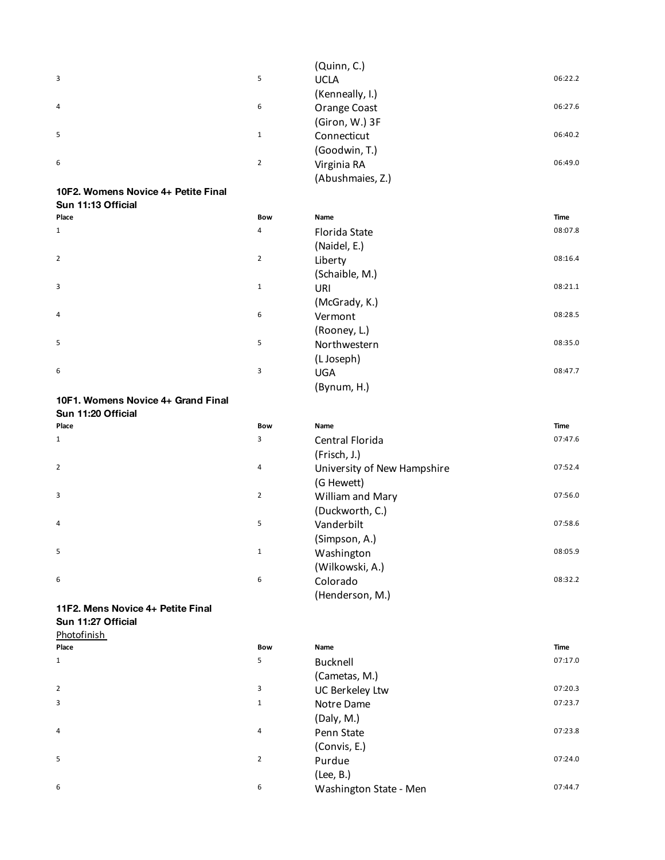|                |                | (Quinn, C.)      |         |
|----------------|----------------|------------------|---------|
| $\overline{3}$ | 5              | <b>UCLA</b>      | 06:22.2 |
|                |                | (Kenneally, I.)  |         |
| $\overline{4}$ | 6              | Orange Coast     | 06:27.6 |
|                |                | (Giron, W.) 3F   |         |
| 5              | $\mathbf{1}$   | Connecticut      | 06:40.2 |
|                |                | (Goodwin, T.)    |         |
| 6              | $\overline{2}$ | Virginia RA      | 06:49.0 |
|                |                | (Abushmaies, Z.) |         |
|                |                |                  |         |

## **10F2. Womens Novice 4+ Petite Final**

| Sun 11:13 Official |                |                |         |
|--------------------|----------------|----------------|---------|
| Place              | Bow            | Name           | Time    |
| $\mathbf{1}$       | 4              | Florida State  | 08:07.8 |
|                    |                | (Naidel, E.)   |         |
| $\overline{2}$     | $\overline{2}$ | Liberty        | 08:16.4 |
|                    |                | (Schaible, M.) |         |
| 3                  | $\mathbf{1}$   | URI            | 08:21.1 |
|                    |                | (McGrady, K.)  |         |
| $\overline{4}$     | 6              | Vermont        | 08:28.5 |
|                    |                | (Rooney, L.)   |         |
| 5                  | 5              | Northwestern   | 08:35.0 |
|                    |                | (L Joseph)     |         |
| 6                  | 3              | <b>UGA</b>     | 08:47.7 |
|                    |                | (Bynum, H.)    |         |
|                    |                |                |         |

## **10F1. Womens Novice 4+ Grand Final Sun 11:20 Official**

| Place          | <b>Bow</b>     | Name                        | <b>Time</b> |
|----------------|----------------|-----------------------------|-------------|
| $\mathbf{1}$   | 3              | Central Florida             | 07:47.6     |
|                |                | (Frisch, J.)                |             |
| $\overline{2}$ | 4              | University of New Hampshire | 07:52.4     |
|                |                | (G Hewett)                  |             |
| 3              | $\overline{2}$ | William and Mary            | 07:56.0     |
|                |                | (Duckworth, C.)             |             |
| $\overline{4}$ | 5              | Vanderbilt                  | 07:58.6     |
|                |                | (Simpson, A.)               |             |
| 5              | 1              | Washington                  | 08:05.9     |
|                |                | (Wilkowski, A.)             |             |
| 6              | 6              | Colorado                    | 08:32.2     |
|                |                | (Henderson, M.)             |             |
|                |                |                             |             |

## **11F2. Mens Novice 4+ Petite Final Sun 11:27 Official**

Photofinish

| .     |                |                        |         |
|-------|----------------|------------------------|---------|
| Place | Bow            | Name                   | Time    |
| 1     | 5              | Bucknell               | 07:17.0 |
|       |                | (Cametas, M.)          |         |
| 2     | 3              | UC Berkeley Ltw        | 07:20.3 |
| 3     | $\mathbf{1}$   | Notre Dame             | 07:23.7 |
|       |                | (Daly, M.)             |         |
| 4     | 4              | Penn State             | 07:23.8 |
|       |                | (Convis, E.)           |         |
| 5     | $\overline{2}$ | Purdue                 | 07:24.0 |
|       |                | (Lee, B.)              |         |
| 6     | 6              | Washington State - Men | 07:44.7 |
|       |                |                        |         |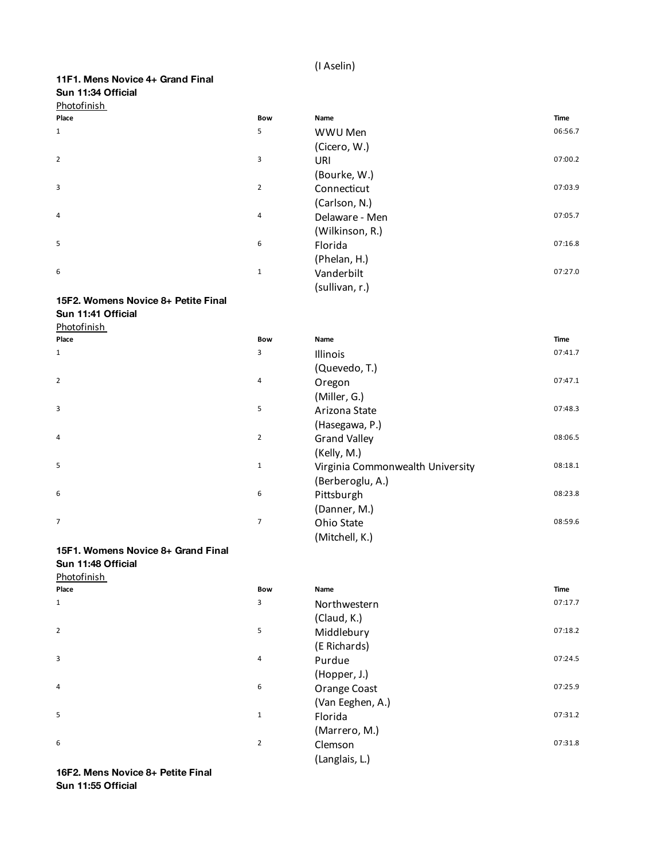## (I Aselin)

| 11F1. Mens Novice 4+ Grand Final |
|----------------------------------|
| Sun 11:34 Official               |
| <b>Dhotofinich</b>               |

| <b>Photofinish</b> |                |                 |         |
|--------------------|----------------|-----------------|---------|
| Place              | Bow            | Name            | Time    |
| $\mathbf{1}$       | 5              | WWU Men         | 06:56.7 |
|                    |                | (Cicero, W.)    |         |
| $\overline{2}$     | 3              | URI             | 07:00.2 |
|                    |                | (Bourke, W.)    |         |
| 3                  | $\overline{2}$ | Connecticut     | 07:03.9 |
|                    |                | (Carlson, N.)   |         |
| 4                  | 4              | Delaware - Men  | 07:05.7 |
|                    |                | (Wilkinson, R.) |         |
| 5                  | 6              | Florida         | 07:16.8 |
|                    |                | (Phelan, H.)    |         |
| 6                  | $\mathbf{1}$   | Vanderbilt      | 07:27.0 |
|                    |                | (sullivan, r.)  |         |

## **15F2. Womens Novice 8+ Petite Final**

**Sun 11:41 Official** Photofinish

| Place          | Bow            | Name                             | Time    |
|----------------|----------------|----------------------------------|---------|
| $\mathbf{1}$   | 3              | Illinois                         | 07:41.7 |
|                |                | (Quevedo, T.)                    |         |
| $\overline{2}$ | $\overline{4}$ | Oregon                           | 07:47.1 |
|                |                | (Miller, G.)                     |         |
| 3              | 5              | Arizona State                    | 07:48.3 |
|                |                | (Hasegawa, P.)                   |         |
| 4              | $\overline{2}$ | <b>Grand Valley</b>              | 08:06.5 |
|                |                | (Kelly, M.)                      |         |
| 5              | $\mathbf 1$    | Virginia Commonwealth University | 08:18.1 |
|                |                | (Berberoglu, A.)                 |         |
| 6              | 6              | Pittsburgh                       | 08:23.8 |
|                |                | (Danner, M.)                     |         |
| 7              | $\overline{7}$ | Ohio State                       | 08:59.6 |
|                |                | (Mitchell, K.)                   |         |

## **15F1. Womens Novice 8+ Grand Final**

**Sun 11:48 Official** Photofinish

| Place          | <b>Bow</b>     | Name             | <b>Time</b> |
|----------------|----------------|------------------|-------------|
| $\mathbf{1}$   | 3              | Northwestern     | 07:17.7     |
|                |                | (Claud, K.)      |             |
| $\overline{2}$ | 5              | Middlebury       | 07:18.2     |
|                |                | (E Richards)     |             |
| 3              | 4              | Purdue           | 07:24.5     |
|                |                | (Hopper, J.)     |             |
| $\overline{4}$ | 6              | Orange Coast     | 07:25.9     |
|                |                | (Van Eeghen, A.) |             |
| 5              | $\mathbf 1$    | Florida          | 07:31.2     |
|                |                | (Marrero, M.)    |             |
| 6              | $\overline{2}$ | Clemson          | 07:31.8     |
|                |                | (Langlais, L.)   |             |

**16F2. Mens Novice 8+ Petite Final Sun 11:55 Official**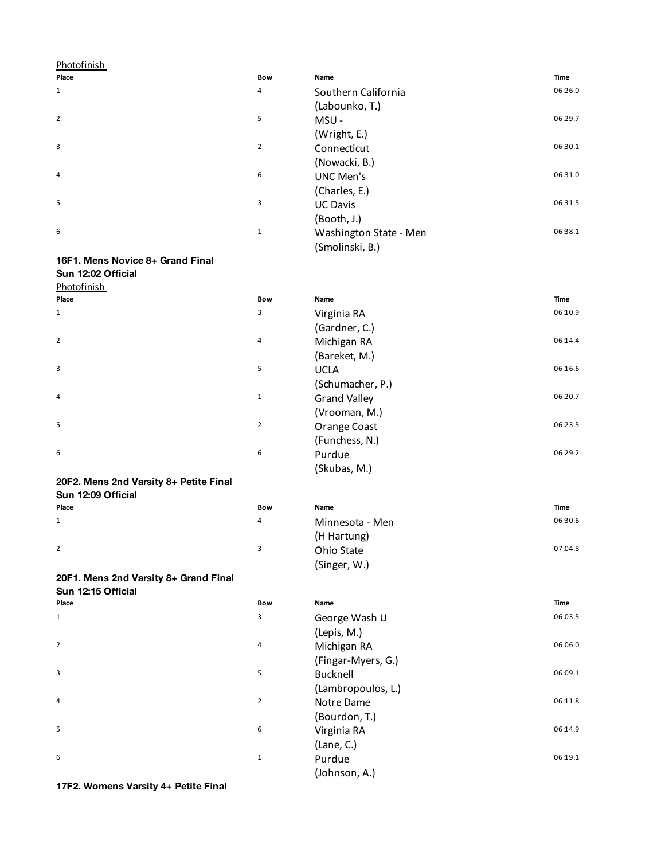| <b>Photofinish</b>                                          |                |                        |             |
|-------------------------------------------------------------|----------------|------------------------|-------------|
| Place                                                       | Bow            | Name                   | <b>Time</b> |
| 1                                                           | 4              | Southern California    | 06:26.0     |
|                                                             |                | (Labounko, T.)         |             |
| $\overline{2}$                                              | 5              | MSU-                   | 06:29.7     |
|                                                             |                | (Wright, E.)           |             |
| 3                                                           | $\overline{2}$ | Connecticut            | 06:30.1     |
|                                                             |                | (Nowacki, B.)          |             |
| 4                                                           | 6              | <b>UNC Men's</b>       | 06:31.0     |
|                                                             |                | (Charles, E.)          |             |
| 5                                                           | 3              | <b>UC Davis</b>        | 06:31.5     |
|                                                             |                | (Booth, J.)            |             |
| 6                                                           | $\mathbf{1}$   | Washington State - Men | 06:38.1     |
|                                                             |                | (Smolinski, B.)        |             |
| 16F1. Mens Novice 8+ Grand Final                            |                |                        |             |
| Sun 12:02 Official                                          |                |                        |             |
| <b>Photofinish</b>                                          |                |                        |             |
| Place                                                       | Bow            | Name                   | Time        |
| 1                                                           | 3              | Virginia RA            | 06:10.9     |
|                                                             |                | (Gardner, C.)          |             |
| $\overline{2}$                                              | 4              | Michigan RA            | 06:14.4     |
|                                                             |                | (Bareket, M.)          |             |
| 3                                                           | 5              | <b>UCLA</b>            | 06:16.6     |
|                                                             |                | (Schumacher, P.)       |             |
| 4                                                           | 1              | <b>Grand Valley</b>    | 06:20.7     |
|                                                             |                | (Vrooman, M.)          |             |
| 5                                                           | $\overline{2}$ | Orange Coast           | 06:23.5     |
|                                                             |                | (Funchess, N.)         |             |
| 6                                                           | 6              | Purdue                 | 06:29.2     |
|                                                             |                | (Skubas, M.)           |             |
| 20F2. Mens 2nd Varsity 8+ Petite Final                      |                |                        |             |
| Sun 12:09 Official                                          |                |                        |             |
| Place                                                       | Bow            | Name                   | Time        |
| 1                                                           | 4              | Minnesota - Men        | 06:30.6     |
|                                                             |                | (H Hartung)            |             |
| $\overline{2}$                                              | 3              | Ohio State             | 07:04.8     |
|                                                             |                | (Singer, W.)           |             |
| 20F1. Mens 2nd Varsity 8+ Grand Final<br>Sun 12:15 Official |                |                        |             |
| Place                                                       | Bow            | Name                   | Time        |
| 1                                                           | 3              | George Wash U          | 06:03.5     |
|                                                             |                | (Lepis, M.)            |             |
| $\overline{2}$                                              | 4              | Michigan RA            | 06:06.0     |
|                                                             |                | (Fingar-Myers, G.)     |             |
| 3                                                           | 5              | <b>Bucknell</b>        | 06:09.1     |
|                                                             |                | (Lambropoulos, L.)     |             |
| 4                                                           | $\overline{2}$ | Notre Dame             | 06:11.8     |
|                                                             |                | (Bourdon, T.)          |             |
| 5                                                           | 6              |                        | 06:14.9     |
|                                                             |                | Virginia RA            |             |

(Lane, C.)

(Johnson, A.)

1 **Purdue 1** 06:19.1

<sub>5</sub><br>6<br>**17F2. Womens Varsity 4+ Petite Final** 

6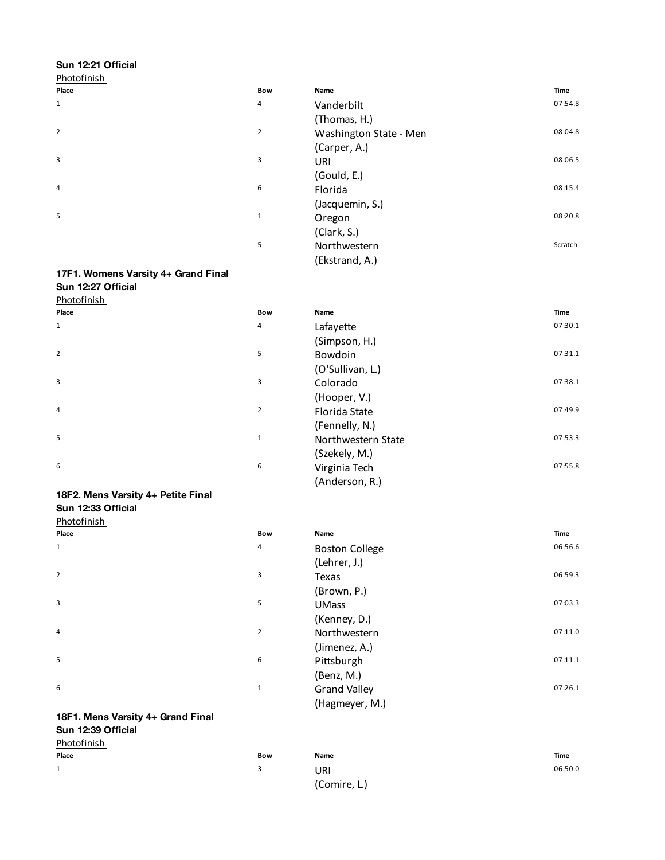## **Sun 12:21 Official**

| Photofinish    |                |                        |         |
|----------------|----------------|------------------------|---------|
| Place          | Bow            | Name                   | Time    |
| $\mathbf{1}$   | 4              | Vanderbilt             | 07:54.8 |
|                |                | (Thomas, H.)           |         |
| $\overline{2}$ | $\overline{2}$ | Washington State - Men | 08:04.8 |
|                |                | (Carper, A.)           |         |
| 3              | 3              | URI                    | 08:06.5 |
|                |                | (Gould, E.)            |         |
| 4              | 6              | Florida                | 08:15.4 |
|                |                | (Jacquemin, S.)        |         |
| 5              | $\mathbf{1}$   | Oregon                 | 08:20.8 |
|                |                | (Clark, S.)            |         |
|                | 5              | Northwestern           | Scratch |
|                |                | (Ekstrand, A.)         |         |

## **17F1. Womens Varsity 4+ Grand Final Sun 12:27 Official**

## **Photofinish**

| Place          | Bow            | Name               | <b>Time</b> |
|----------------|----------------|--------------------|-------------|
| $\mathbf{1}$   | 4              | Lafayette          | 07:30.1     |
|                |                | (Simpson, H.)      |             |
| $\overline{2}$ | 5              | Bowdoin            | 07:31.1     |
|                |                | (O'Sullivan, L.)   |             |
| 3              | 3              | Colorado           | 07:38.1     |
|                |                | (Hooper, V.)       |             |
| $\overline{4}$ | $\overline{2}$ | Florida State      | 07:49.9     |
|                |                | (Fennelly, N.)     |             |
| 5              | $\mathbf{1}$   | Northwestern State | 07:53.3     |
|                |                | (Szekely, M.)      |             |
| 6              | 6              | Virginia Tech      | 07:55.8     |
|                |                | (Anderson, R.)     |             |

## **18F2. Mens Varsity 4+ Petite Final**

|             | Sun 12:33 Official |
|-------------|--------------------|
| Photofinish |                    |

| . . <u>.</u>   |              |                       |         |
|----------------|--------------|-----------------------|---------|
| Place          | <b>Bow</b>   | Name                  | Time    |
| $\mathbf{1}$   | 4            | <b>Boston College</b> | 06:56.6 |
|                |              | (Lehrer, J.)          |         |
| $\overline{2}$ | 3            | Texas                 | 06:59.3 |
|                |              | (Brown, P.)           |         |
| 3              | 5            | <b>UMass</b>          | 07:03.3 |
|                |              | (Kenney, D.)          |         |
| $\overline{4}$ | 2            | Northwestern          | 07:11.0 |
|                |              | (Jimenez, A.)         |         |
| 5              | 6            | Pittsburgh            | 07:11.1 |
|                |              | (Benz, M.)            |         |
| 6              | $\mathbf{1}$ | <b>Grand Valley</b>   | 07:26.1 |
|                |              | (Hagmeyer, M.)        |         |

## **18F1. Mens Varsity 4+ Grand Final Sun 12:39 Official**

## Photofinish

| <u> 1100011111311</u> |     |              |         |
|-----------------------|-----|--------------|---------|
| Place                 | Bow | Name         | Time    |
| 1                     |     | URI          | 06:50.0 |
|                       |     | (Comire, L.) |         |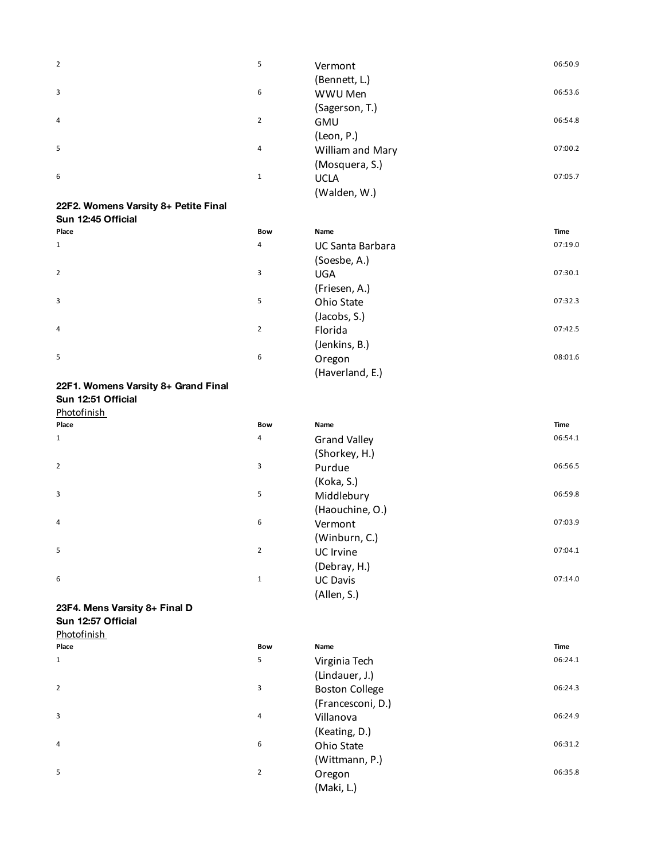| 2                                    | 5              | Vermont               | 06:50.9     |
|--------------------------------------|----------------|-----------------------|-------------|
|                                      |                | (Bennett, L.)         |             |
| 3                                    | 6              | WWU Men               | 06:53.6     |
|                                      |                | (Sagerson, T.)        |             |
| 4                                    | $\overline{2}$ | <b>GMU</b>            | 06:54.8     |
|                                      |                | (Leon, P.)            |             |
| 5                                    | 4              | William and Mary      | 07:00.2     |
|                                      |                | (Mosquera, S.)        |             |
| 6                                    | $\mathbf 1$    | <b>UCLA</b>           | 07:05.7     |
|                                      |                | (Walden, W.)          |             |
| 22F2. Womens Varsity 8+ Petite Final |                |                       |             |
| Sun 12:45 Official                   |                |                       |             |
| Place                                | Bow            | Name                  | <b>Time</b> |
| $\mathbf 1$                          | 4              | UC Santa Barbara      | 07:19.0     |
|                                      |                | (Soesbe, A.)          |             |
| 2                                    | 3              | <b>UGA</b>            | 07:30.1     |
|                                      |                | (Friesen, A.)         |             |
| 3                                    | 5              | Ohio State            | 07:32.3     |
|                                      |                | (Jacobs, S.)          |             |
| 4                                    | $\overline{2}$ | Florida               | 07:42.5     |
|                                      |                | (Jenkins, B.)         |             |
| 5                                    | 6              | Oregon                | 08:01.6     |
|                                      |                | (Haverland, E.)       |             |
| 22F1. Womens Varsity 8+ Grand Final  |                |                       |             |
| Sun 12:51 Official                   |                |                       |             |
| <b>Photofinish</b>                   |                |                       |             |
| Place                                | Bow            | Name                  | <b>Time</b> |
| 1                                    | 4              | <b>Grand Valley</b>   | 06:54.1     |
|                                      |                | (Shorkey, H.)         |             |
| $\overline{2}$                       | 3              | Purdue                | 06:56.5     |
|                                      |                | (Koka, S.)            |             |
| 3                                    | 5              | Middlebury            | 06:59.8     |
|                                      |                | (Haouchine, O.)       |             |
| 4                                    | 6              | Vermont               | 07:03.9     |
|                                      |                | (Winburn, C.)         |             |
| 5                                    | $\overline{2}$ | UC Irvine             | 07:04.1     |
|                                      |                | (Debray, H.)          |             |
| 6                                    | $\mathbf{1}$   | <b>UC Davis</b>       | 07:14.0     |
|                                      |                | (Allen, S.)           |             |
| 23F4. Mens Varsity 8+ Final D        |                |                       |             |
| Sun 12:57 Official                   |                |                       |             |
| Photofinish<br>Place                 | Bow            | Name                  | Time        |
| 1                                    | 5              |                       | 06:24.1     |
|                                      |                | Virginia Tech         |             |
| 2                                    | 3              | (Lindauer, J.)        | 06:24.3     |
|                                      |                | <b>Boston College</b> |             |
| 3                                    | 4              | (Francesconi, D.)     | 06:24.9     |
|                                      |                | Villanova             |             |

(Keating, D.)

4

5

(Maki, L.)

(Wittmann, P.)

6 06:31.2

2 Oregon 06:35.8